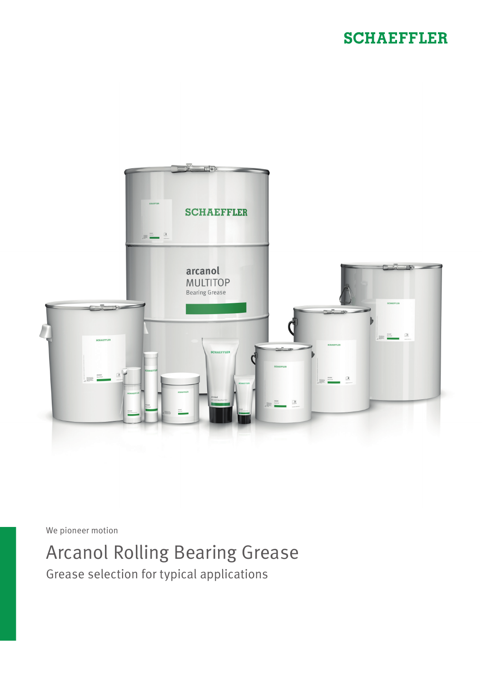## **SCHAEFFLER**



We pioneer motion

## Arcanol Rolling Bearing Grease

Grease selection for typical applications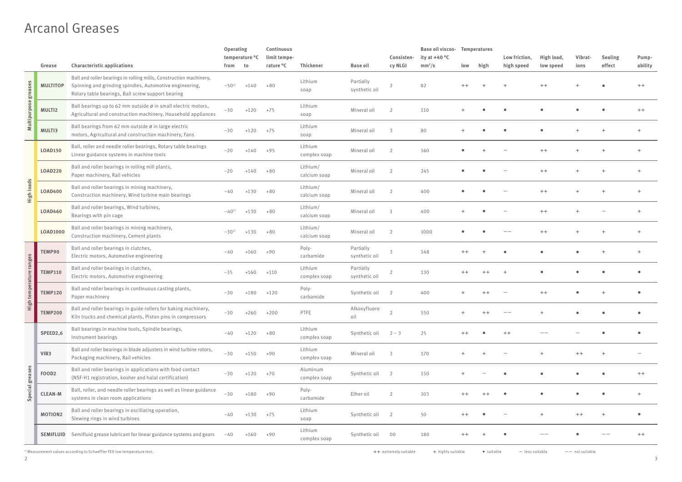## Arcanol Greases

|                    |                   |                                                                                                                                                                                    | Operating<br>temperature °C |        | Continuous<br>limit tempe- |                          |                            | Consisten-     | <b>Base oil viscos- Temperatures</b><br>ity at $+40 °C$ |      |      | Low friction, | High load, | Vibrat- | <b>Sealing</b> | Pump-   |
|--------------------|-------------------|------------------------------------------------------------------------------------------------------------------------------------------------------------------------------------|-----------------------------|--------|----------------------------|--------------------------|----------------------------|----------------|---------------------------------------------------------|------|------|---------------|------------|---------|----------------|---------|
|                    | Grease            | <b>Characteristic applications</b>                                                                                                                                                 | from                        | to     | rature °C                  | Thickener                | <b>Base oil</b>            | cy NLGI        | mm <sup>2</sup> /s                                      | low  | high | high speed    | low speed  | ions    | effect         | ability |
| greases            | <b>MULTITOP</b>   | Ball and roller bearings in rolling mills, Construction machinery,<br>Spinning and grinding spindles, Automotive engineering,<br>Rotary table bearings, Ball screw support bearing | $-50^{1}$                   | +140   | $+80$                      | Lithium<br>soap          | Partially<br>synthetic oil | $\overline{2}$ | 82                                                      |      |      |               | $++$       |         |                |         |
| Multipurpose       | MULTI2            | Ball bearings up to 62 mm outside ø in small electric motors,<br>Agricultural and construction machinery, Household appliances                                                     | $-30$                       | $+120$ | $+75$                      | Lithium<br>soap          | Mineral oil                |                | 110                                                     |      |      |               |            |         |                | $++$    |
|                    | MULTI3            | Ball bearings from 62 mm outside ø in large electric<br>motors, Agricultural and construction machinery, Fans                                                                      | $-30$                       | $+120$ | $+75$                      | Lithium<br>soap          | Mineral oil                |                | 80                                                      |      |      |               |            |         |                |         |
|                    | <b>LOAD150</b>    | Ball, roller and needle roller bearings, Rotary table bearings<br>Linear guidance systems in machine tools                                                                         | $-20$                       | $+140$ | $+95$                      | Lithium<br>complex soap  | Mineral oil                | $\mathcal{L}$  | 160                                                     |      |      |               | $++$       |         |                |         |
|                    | <b>LOAD220</b>    | Ball and roller bearings in rolling mill plants,<br>Paper machinery, Rail vehicles                                                                                                 | $-20$                       | $+140$ | $+80$                      | Lithium/<br>calcium soap | Mineral oil                | $\mathcal{I}$  | 245                                                     |      |      |               | $++$       |         |                |         |
| <b>High loads</b>  | <b>LOAD400</b>    | Ball and roller bearings in mining machinery,<br>Construction machinery, Wind turbine main bearings                                                                                | -40                         | $+130$ | $+80$                      | Lithium/<br>calcium soap | Mineral oil                | $\mathcal{L}$  | 400                                                     |      |      |               | $++$       |         |                |         |
|                    | <b>LOAD460</b>    | Ball and roller bearings, Wind turbines,<br>Bearings with pin cage                                                                                                                 | $-40^{11}$                  | $+130$ | $+80$                      | Lithium/<br>calcium soap | Mineral oil                |                | 400                                                     |      |      |               | $++$       |         |                |         |
|                    | <b>LOAD1000</b>   | Ball and roller bearings in mining machinery,<br>Construction machinery, Cement plants                                                                                             | $-30^{1}$                   | $+130$ | $+80$                      | Lithium/<br>calcium soap | Mineral oil                | $\mathcal{I}$  | 1000                                                    |      |      |               |            |         |                |         |
|                    | TEMP90            | Ball and roller bearings in clutches,<br>Electric motors, Automotive engineering                                                                                                   | $-40$                       | $+160$ | $+90$                      | Poly-<br>carbamide       | Partially<br>synthetic oil | 3              | 148                                                     |      |      |               |            |         |                |         |
| temperature ranges | <b>TEMP110</b>    | Ball and roller bearings in clutches,<br>Electric motors, Automotive engineering                                                                                                   | $-35$                       | $+160$ | $+110$                     | Lithium<br>complex soap  | Partially<br>synthetic oil | $\overline{2}$ | 130                                                     |      |      |               |            |         |                |         |
|                    | <b>TEMP120</b>    | Ball and roller bearings in continuous casting plants,<br>Paper machinery                                                                                                          | $-30$                       | +180   | $+120$                     | Poly-<br>carbamide       | Synthetic oil              |                | 400                                                     |      |      |               |            |         |                |         |
| $\frac{1}{2}$      | <b>TEMP200</b>    | Ball and roller bearings in guide rollers for baking machinery,<br>Kiln trucks and chemical plants, Piston pins in compressors                                                     | $-30$                       | $+260$ | $+200$                     | PTFE                     | Alkoxyfluoro<br>oil        |                | 550                                                     |      |      |               |            |         |                |         |
|                    | SPEED2,6          | Ball bearings in machine tools, Spindle bearings,<br>Instrument bearings                                                                                                           | $-40$                       | $+120$ | $+80$                      | Lithium<br>complex soap  | Synthetic oil              | $2 - 3$        | 25                                                      | $++$ |      | $^{++}$       |            |         |                |         |
|                    | VIB3              | Ball and roller bearings in blade adjusters in wind turbine rotors,<br>Packaging machinery, Rail vehicles                                                                          | $-30$                       | $+150$ | $+90$                      | Lithium<br>complex soap  | Mineral oil                | 3              | 170                                                     |      |      |               |            | $++$    |                |         |
| greases            | FOOD <sub>2</sub> | Ball and roller bearings in applications with food contact<br>(NSF-H1 registration, kosher and halal certification)                                                                | $-30$                       | $+120$ | $+70$                      | Aluminum<br>complex soap | Synthetic oil              | 2              | 150                                                     |      |      |               |            |         |                | $++$    |
| Special            | <b>CLEAN-M</b>    | Ball, roller, and needle roller bearings as well as linear guidance<br>systems in clean room applications                                                                          | $-30$                       | $+180$ | $+90$                      | Poly-<br>carbamide       | Ether oil                  | $\overline{2}$ | 103                                                     | $++$ |      |               |            |         |                |         |
|                    | <b>MOTION2</b>    | Ball and roller bearings in oscillating operation,<br>Slewing rings in wind turbines                                                                                               | $-40$                       | $+130$ | $+75$                      | Lithium<br>soap          | Synthetic oil              | 2              | 50                                                      | $++$ |      |               |            | $++$    |                |         |
|                    | <b>SEMIFLUID</b>  | Semifluid grease lubricant for linear guidance systems and gears                                                                                                                   | $-40$                       | $+160$ | $+90$                      | Lithium<br>complex soap  | Synthetic oil              | 00             | 180                                                     | $^+$ |      |               |            |         | --             | $++$    |